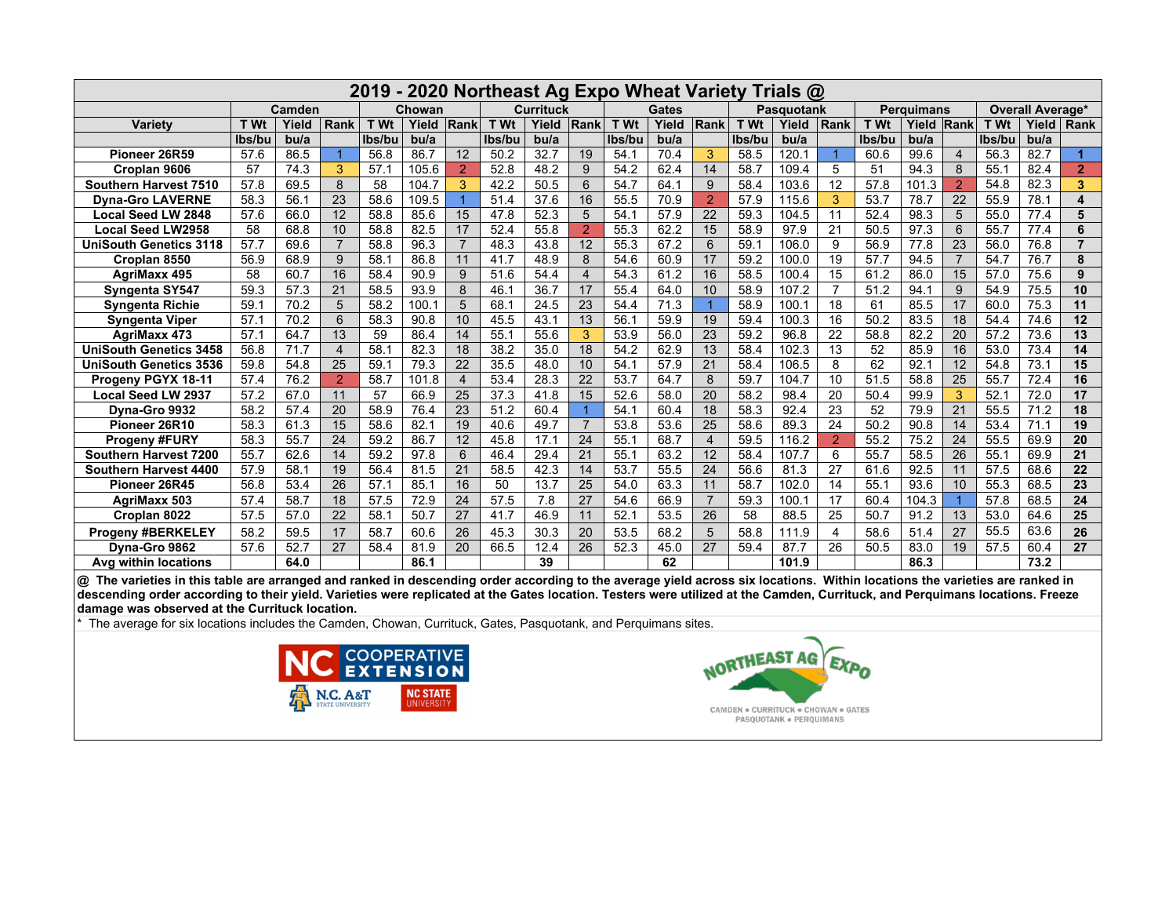| 2019<br>- 2020 Northeast Ag Expo Wheat Variety<br>Trials @ |        |       |                |        |       |                |                  |                  |                |              |                  |                |                   |       |                            |        |                  |                |             |       |                |
|------------------------------------------------------------|--------|-------|----------------|--------|-------|----------------|------------------|------------------|----------------|--------------|------------------|----------------|-------------------|-------|----------------------------|--------|------------------|----------------|-------------|-------|----------------|
|                                                            | Camden |       |                | Chowan |       |                | <b>Currituck</b> |                  |                | <b>Gates</b> |                  |                | <b>Pasquotank</b> |       | <b>Perguimans</b>          |        | Overall Average* |                |             |       |                |
| Variety                                                    | T Wt   | Yield | Rank           | T Wt   | Yield | Rank           | T Wt             | Yield            | Rank           | T Wt         | Yield            | Rank           | T Wt              | Yield | $\overline{\mathsf{Rank}}$ | T Wt   | Yield            | Rank           | <b>T</b> Wt | Yield | Rank           |
|                                                            | lbs/bu | bu/a  |                | Ibs/bu | bu/a  |                | lbs/bu           | b <sub>u/a</sub> |                | lbs/bu       | b <sub>u/a</sub> |                | lbs/bu            | bu/a  |                            | lbs/bu | b <sub>u/a</sub> |                | Ibs/bu      | bu/a  |                |
| Pioneer 26R59                                              | 57.6   | 86.5  |                | 56.8   | 86.7  | 12             | 50.2             | 32.7             | 19             | 54.1         | 70.4             | 3              | 58.5              | 120.1 |                            | 60.6   | 99.6             | $\overline{4}$ | 56.3        | 82.7  |                |
| Croplan 9606                                               | 57     | 74.3  | 3              | 57.1   | 105.6 | $\overline{2}$ | 52.8             | 48.2             | 9              | 54.2         | 62.4             | 14             | 58.7              | 109.4 | 5                          | 51     | 94.3             | 8              | 55.1        | 82.4  | $\overline{2}$ |
| Southern Harvest 7510                                      | 57.8   | 69.5  | 8              | 58     | 104.7 | 3              | 42.2             | 50.5             | 6              | 54.7         | 64.1             | 9              | 58.4              | 103.6 | 12                         | 57.8   | 101.3            | $\overline{2}$ | 54.8        | 82.3  | 3              |
| <b>Dyna-Gro LAVERNE</b>                                    | 58.3   | 56.1  | 23             | 58.6   | 109.5 |                | 51.4             | 37.6             | 16             | 55.5         | 70.9             | $\overline{2}$ | 57.9              | 115.6 | 3                          | 53.7   | 78.7             | 22             | 55.9        | 78.1  | 4              |
| <b>Local Seed LW 2848</b>                                  | 57.6   | 66.0  | 12             | 58.8   | 85.6  | 15             | 47.8             | 52.3             | 5              | 54.1         | 57.9             | 22             | 59.3              | 104.5 | 11                         | 52.4   | 98.3             | 5              | 55.0        | 77.4  | 5              |
| <b>Local Seed LW2958</b>                                   | 58     | 68.8  | 10             | 58.8   | 82.5  | 17             | 52.4             | 55.8             | $\overline{2}$ | 55.3         | 62.2             | 15             | 58.9              | 97.9  | 21                         | 50.5   | 97.3             | 6              | 55.7        | 77.4  | 6              |
| <b>UniSouth Genetics 3118</b>                              | 57.7   | 69.6  | $\overline{7}$ | 58.8   | 96.3  | $\overline{7}$ | 48.3             | 43.8             | 12             | 55.3         | 67.2             | 6              | 59.1              | 106.0 | 9                          | 56.9   | 77.8             | 23             | 56.0        | 76.8  | 7              |
| Croplan 8550                                               | 56.9   | 68.9  | 9              | 58.1   | 86.8  | 11             | 41.7             | 48.9             | 8              | 54.6         | 60.9             | 17             | 59.2              | 100.0 | 19                         | 57.7   | 94.5             | $\overline{7}$ | 54.7        | 76.7  | 8              |
| <b>AgriMaxx 495</b>                                        | 58     | 60.7  | 16             | 58.4   | 90.9  | 9              | 51.6             | 54.4             | 4              | 54.3         | 61.2             | 16             | 58.5              | 100.4 | 15                         | 61.2   | 86.0             | 15             | 57.0        | 75.6  | 9              |
| Syngenta SY547                                             | 59.3   | 57.3  | 21             | 58.5   | 93.9  | 8              | 46.1             | 36.7             | 17             | 55.4         | 64.0             | 10             | 58.9              | 107.2 | $\overline{7}$             | 51.2   | 94.1             | 9              | 54.9        | 75.5  | 10             |
| <b>Syngenta Richie</b>                                     | 59.1   | 70.2  | 5              | 58.2   | 100.1 | 5              | 68.1             | 24.5             | 23             | 54.4         | 71.3             | $\overline{1}$ | 58.9              | 100.1 | 18                         | 61     | 85.5             | 17             | 60.0        | 75.3  | 11             |
| <b>Syngenta Viper</b>                                      | 57.1   | 70.2  | 6              | 58.3   | 90.8  | 10             | 45.5             | 43.1             | 13             | 56.1         | 59.9             | 19             | 59.4              | 100.3 | 16                         | 50.2   | 83.5             | 18             | 54.4        | 74.6  | 12             |
| <b>AgriMaxx 473</b>                                        | 57.1   | 64.7  | 13             | 59     | 86.4  | 14             | 55.1             | 55.6             | 3              | 53.9         | 56.0             | 23             | 59.2              | 96.8  | 22                         | 58.8   | 82.2             | 20             | 57.2        | 73.6  | 13             |
| <b>UniSouth Genetics 3458</b>                              | 56.8   | 71.7  | $\overline{4}$ | 58.7   | 82.3  | 18             | 38.2             | 35.0             | 18             | 54.2         | 62.9             | 13             | 58.4              | 102.3 | 13                         | 52     | 85.9             | 16             | 53.0        | 73.4  | 14             |
| <b>UniSouth Genetics 3536</b>                              | 59.8   | 54.8  | 25             | 59.1   | 79.3  | 22             | 35.5             | 48.0             | 10             | 54.1         | 57.9             | 21             | 58.4              | 106.5 | 8                          | 62     | 92.1             | 12             | 54.8        | 73.1  | 15             |
| Progeny PGYX 18-11                                         | 57.4   | 76.2  | $\overline{2}$ | 58.7   | 101.8 | $\overline{4}$ | 53.4             | 28.3             | 22             | 53.7         | 64.7             | 8              | 59.7              | 104.7 | 10                         | 51.5   | 58.8             | 25             | 55.7        | 72.4  | 16             |
| <b>Local Seed LW 2937</b>                                  | 57.2   | 67.0  | 11             | 57     | 66.9  | 25             | 37.3             | 41.8             | 15             | 52.6         | 58.0             | 20             | 58.2              | 98.4  | 20                         | 50.4   | 99.9             | 3              | 52.1        | 72.0  | 17             |
| Dyna-Gro 9932                                              | 58.2   | 57.4  | 20             | 58.9   | 76.4  | 23             | 51.2             | 60.4             |                | 54.1         | 60.4             | 18             | 58.3              | 92.4  | 23                         | 52     | 79.9             | 21             | 55.5        | 71.2  | 18             |
| Pioneer 26R10                                              | 58.3   | 61.3  | 15             | 58.6   | 82.1  | 19             | 40.6             | 49.7             | $\overline{7}$ | 53.8         | 53.6             | 25             | 58.6              | 89.3  | 24                         | 50.2   | 90.8             | 14             | 53.4        | 71.1  | 19             |
| <b>Progeny #FURY</b>                                       | 58.3   | 55.7  | 24             | 59.2   | 86.7  | 12             | 45.8             | 17.1             | 24             | 55.1         | 68.7             | $\overline{4}$ | 59.5              | 116.2 | 2                          | 55.2   | 75.2             | 24             | 55.5        | 69.9  | 20             |
| Southern Harvest 7200                                      | 55.7   | 62.6  | 14             | 59.2   | 97.8  | 6              | 46.4             | 29.4             | 21             | 55.1         | 63.2             | 12             | 58.4              | 107.7 | 6                          | 55.7   | 58.5             | 26             | 55.1        | 69.9  | 21             |
| Southern Harvest 4400                                      | 57.9   | 58.1  | 19             | 56.4   | 81.5  | 21             | 58.5             | 42.3             | 14             | 53.7         | 55.5             | 24             | 56.6              | 81.3  | 27                         | 61.6   | 92.5             | 11             | 57.5        | 68.6  | 22             |
| Pioneer 26R45                                              | 56.8   | 53.4  | 26             | 57.1   | 85.1  | 16             | 50               | 13.7             | 25             | 54.0         | 63.3             | 11             | 58.7              | 102.0 | 14                         | 55.1   | 93.6             | 10             | 55.3        | 68.5  | 23             |
| <b>AgriMaxx 503</b>                                        | 57.4   | 58.7  | 18             | 57.5   | 72.9  | 24             | 57.5             | 7.8              | 27             | 54.6         | 66.9             | $\overline{7}$ | 59.3              | 100.1 | 17                         | 60.4   | 104.3            | $\overline{1}$ | 57.8        | 68.5  | 24             |
| Croplan 8022                                               | 57.5   | 57.0  | 22             | 58.1   | 50.7  | 27             | 41.7             | 46.9             | 11             | 52.1         | 53.5             | 26             | 58                | 88.5  | 25                         | 50.7   | 91.2             | 13             | 53.0        | 64.6  | 25             |
| <b>Progeny #BERKELEY</b>                                   | 58.2   | 59.5  | 17             | 58.7   | 60.6  | 26             | 45.3             | 30.3             | 20             | 53.5         | 68.2             | 5              | 58.8              | 111.9 | $\overline{4}$             | 58.6   | 51.4             | 27             | 55.5        | 63.6  | 26             |
| Dyna-Gro 9862                                              | 57.6   | 52.7  | 27             | 58.4   | 81.9  | 20             | 66.5             | 12.4             | 26             | 52.3         | 45.0             | 27             | 59.4              | 87.7  | 26                         | 50.5   | 83.0             | 19             | 57.5        | 60.4  | 27             |
| Avg within locations                                       |        | 64.0  |                |        | 86.1  |                |                  | 39               |                |              | 62               |                |                   | 101.9 |                            |        | 86.3             |                |             | 73.2  |                |

@ The varieties in this table are arranged and ranked in descending order according to the average yield across six locations. Within locations the varieties are ranked in descending order according to their yield. Varieties were replicated at the Gates location. Testers were utilized at the Camden, Currituck, and Perquimans locations. Freeze damage was observed at the Currituck location.

The average for six locations includes the Camden, Chowan, Currituck, Gates, Pasquotank, and Perquimans sites.



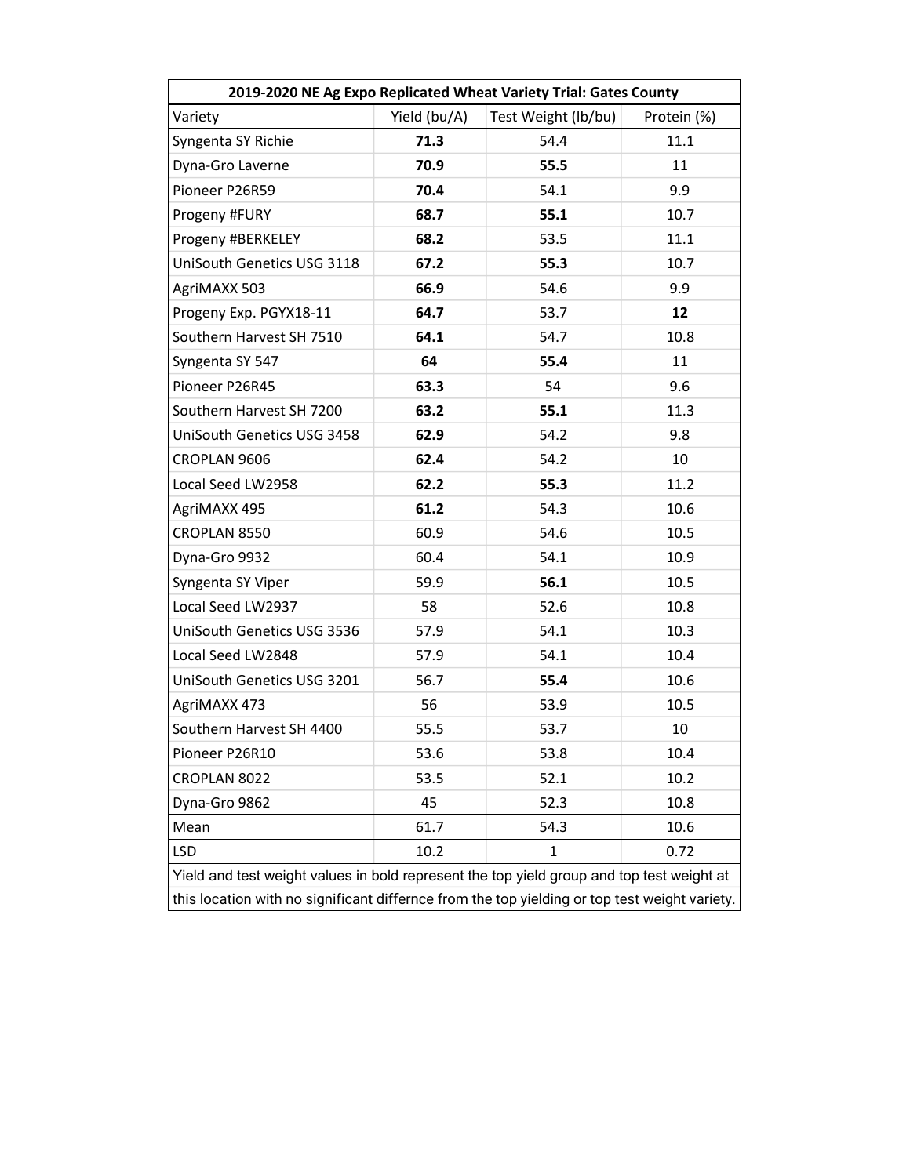| 2019-2020 NE Ag Expo Replicated Wheat Variety Trial: Gates County                             |              |                     |             |  |  |  |  |  |
|-----------------------------------------------------------------------------------------------|--------------|---------------------|-------------|--|--|--|--|--|
| Variety                                                                                       | Yield (bu/A) | Test Weight (lb/bu) | Protein (%) |  |  |  |  |  |
| Syngenta SY Richie                                                                            | 71.3         | 54.4                | 11.1        |  |  |  |  |  |
| Dyna-Gro Laverne                                                                              | 70.9         | 55.5                | 11          |  |  |  |  |  |
| Pioneer P26R59                                                                                | 70.4         | 54.1                | 9.9         |  |  |  |  |  |
| Progeny #FURY                                                                                 | 68.7         | 55.1                | 10.7        |  |  |  |  |  |
| Progeny #BERKELEY                                                                             | 68.2         | 53.5                | 11.1        |  |  |  |  |  |
| UniSouth Genetics USG 3118                                                                    | 67.2         | 55.3                | 10.7        |  |  |  |  |  |
| AgriMAXX 503                                                                                  | 66.9         | 54.6                | 9.9         |  |  |  |  |  |
| Progeny Exp. PGYX18-11                                                                        | 64.7         | 53.7                | 12          |  |  |  |  |  |
| Southern Harvest SH 7510                                                                      | 64.1         | 54.7                | 10.8        |  |  |  |  |  |
| Syngenta SY 547                                                                               | 64           | 55.4                | 11          |  |  |  |  |  |
| Pioneer P26R45                                                                                | 63.3         | 54                  | 9.6         |  |  |  |  |  |
| Southern Harvest SH 7200                                                                      | 63.2         | 55.1                | 11.3        |  |  |  |  |  |
| UniSouth Genetics USG 3458                                                                    | 62.9         | 54.2                | 9.8         |  |  |  |  |  |
| CROPLAN 9606                                                                                  | 62.4         | 54.2                | 10          |  |  |  |  |  |
| Local Seed LW2958                                                                             | 62.2         | 55.3                | 11.2        |  |  |  |  |  |
| AgriMAXX 495                                                                                  | 61.2         | 54.3                | 10.6        |  |  |  |  |  |
| CROPLAN 8550                                                                                  | 60.9         | 54.6                | 10.5        |  |  |  |  |  |
| Dyna-Gro 9932                                                                                 | 60.4         | 54.1                | 10.9        |  |  |  |  |  |
| Syngenta SY Viper                                                                             | 59.9         | 56.1                | 10.5        |  |  |  |  |  |
| Local Seed LW2937                                                                             | 58           | 52.6                | 10.8        |  |  |  |  |  |
| UniSouth Genetics USG 3536                                                                    | 57.9         | 54.1                | 10.3        |  |  |  |  |  |
| Local Seed LW2848                                                                             | 57.9         | 54.1                | 10.4        |  |  |  |  |  |
| UniSouth Genetics USG 3201                                                                    | 56.7         | 55.4                | 10.6        |  |  |  |  |  |
| AgriMAXX 473                                                                                  | 56           | 53.9                | 10.5        |  |  |  |  |  |
| Southern Harvest SH 4400                                                                      | 55.5         | 53.7                | 10          |  |  |  |  |  |
| Pioneer P26R10                                                                                | 53.6         | 53.8                | 10.4        |  |  |  |  |  |
| CROPLAN 8022                                                                                  | 53.5         | 52.1                | 10.2        |  |  |  |  |  |
| Dyna-Gro 9862                                                                                 | 45           | 52.3                | 10.8        |  |  |  |  |  |
| Mean                                                                                          | 61.7         | 54.3                | 10.6        |  |  |  |  |  |
| <b>LSD</b><br>10.2<br>1<br>0.72                                                               |              |                     |             |  |  |  |  |  |
| Yield and test weight values in bold represent the top yield group and top test weight at     |              |                     |             |  |  |  |  |  |
| this location with no significant differnce from the top yielding or top test weight variety. |              |                     |             |  |  |  |  |  |